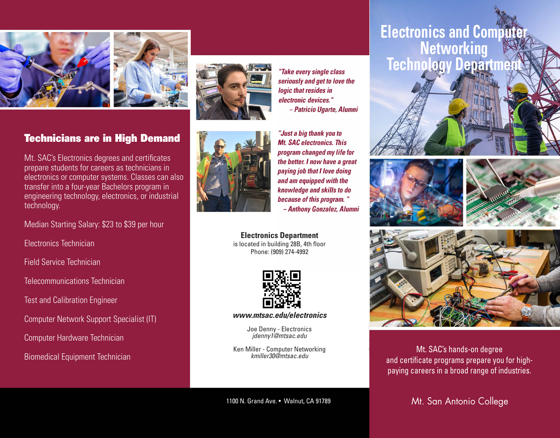



### Technicians are in High Demand

Mt. SAC's Electronics degrees and certifcates prepare students for careers as technicians in electronics or computer systems. Classes can also transfer into a four-year Bachelors program in engineering technology, electronics, or industrial technology.

Median Starting Salary: \$23 to \$39 per hour

Electronics Technician

Field Service Technician

Telecommunications Technician

Test and Calibration Engineer

Computer Network Support Specialist (IT)

Computer Hardware Technician

Biomedical Equipment Technician





*"Just a big thank you to Mt. SAC electronics. This program changed my life for the better. I now have a great paying job that I love doing and am equipped with the knowledge and skills to do because of this program. " -Anthony Gonzalez, Alumni* 

*"Take every single class seriously and get to Jove the* 

*- Patricio Ugarte, Alumni* 

*logic that resides in electronic devices."* 

**Electronics Department**  is located in building 28B, 4th floor Phone: (909) 274-4992



*<www.mtsac.edu/electronics>*

Joe Denny - Electronics *[jdenny1@mtsac.edu](mailto:jdenny1@mtsac.edu)* 

Ken Miller - Computer Networking *[kmiller30@mtsac.edu](mailto:kmiller30@mtsac.edu)* 

1100 N. Grand Ave. • Walnut, CA 91789

## **Electronics and Comp Networking Technology Depart**









Mt. SAC's hands-on degree and certifcate programs prepare you for highpaying careers in a broad range of industries.

Mt. San Antonio College